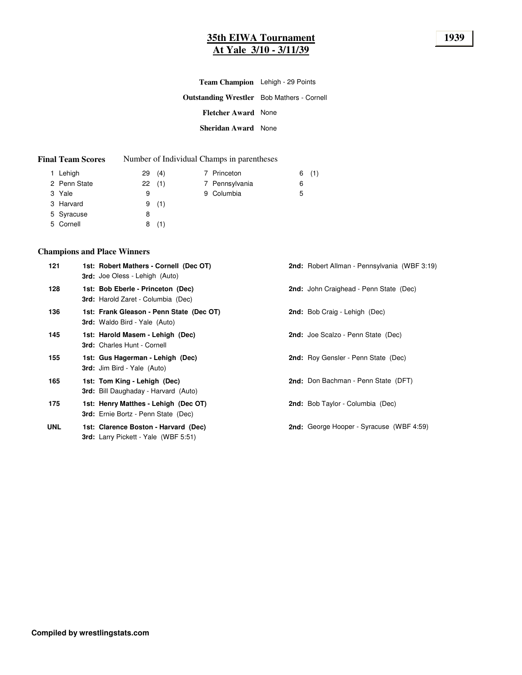## **35th EIWA Tournament 1939 At Yale 3/10 - 3/11/39**

| <b>Team Champion</b> Lehigh - 29 Points           |  |
|---------------------------------------------------|--|
| <b>Outstanding Wrestler</b> Bob Mathers - Cornell |  |
| <b>Fletcher Award</b> None                        |  |
| Sheridan Award None                               |  |

### **Final Team Scores** Number of Individual Champs in parentheses

| 1 Lehigh     | (4)<br>29 | 7 Princeton    | (1)<br>6 |
|--------------|-----------|----------------|----------|
| 2 Penn State | 22(1)     | 7 Pennsylvania | 6        |
| 3 Yale       | 9         | 9 Columbia     | 5        |
| 3 Harvard    | 9<br>(1)  |                |          |
| 5 Syracuse   | 8         |                |          |
| 5 Cornell    | (1)<br>8  |                |          |

## **Champions and Place Winners**

| 121        | 1st: Robert Mathers - Cornell (Dec OT)<br><b>3rd:</b> Joe Oless - Lehigh (Auto)     | <b>2nd:</b> Robert Allman - Pennsylvania (WBF 3:19) |
|------------|-------------------------------------------------------------------------------------|-----------------------------------------------------|
| 128        | 1st: Bob Eberle - Princeton (Dec)<br><b>3rd:</b> Harold Zaret - Columbia (Dec)      | 2nd: John Craighead - Penn State (Dec)              |
| 136        | 1st: Frank Gleason - Penn State (Dec OT)<br><b>3rd:</b> Waldo Bird - Yale (Auto)    | 2nd: Bob Craig - Lehigh (Dec)                       |
| 145        | 1st: Harold Masem - Lehigh (Dec)<br>3rd: Charles Hunt - Cornell                     | <b>2nd: Joe Scalzo - Penn State (Dec)</b>           |
| 155        | 1st: Gus Hagerman - Lehigh (Dec)<br><b>3rd:</b> Jim Bird - Yale (Auto)              | 2nd: Roy Gensler - Penn State (Dec)                 |
| 165        | 1st: Tom King - Lehigh (Dec)<br><b>3rd:</b> Bill Daughaday - Harvard (Auto)         | 2nd: Don Bachman - Penn State (DFT)                 |
| 175        | 1st: Henry Matthes - Lehigh (Dec OT)<br><b>3rd:</b> Ernie Bortz - Penn State (Dec)  | 2nd: Bob Taylor - Columbia (Dec)                    |
| <b>UNL</b> | 1st: Clarence Boston - Harvard (Dec)<br><b>3rd:</b> Larry Pickett - Yale (WBF 5:51) | <b>2nd:</b> George Hooper - Syracuse (WBF 4:59)     |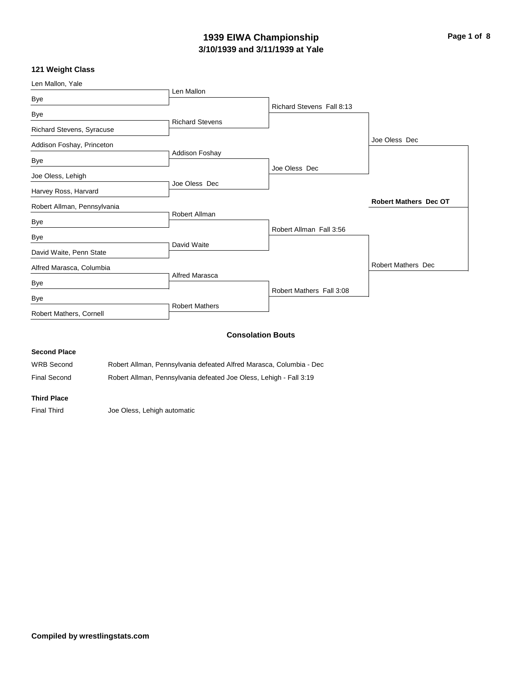## **3/10/1939 and 3/11/1939 at Yale 1939 EIWA Championship Page 1 of 8**

### **121 Weight Class**

| Richard Stevens Fall 8:13<br><b>Richard Stevens</b><br>Addison Foshay<br>Joe Oless Dec<br>Joe Oless Dec<br>Robert Allman | Joe Oless Dec<br><b>Robert Mathers Dec OT</b>                       |
|--------------------------------------------------------------------------------------------------------------------------|---------------------------------------------------------------------|
|                                                                                                                          |                                                                     |
|                                                                                                                          |                                                                     |
|                                                                                                                          |                                                                     |
|                                                                                                                          |                                                                     |
|                                                                                                                          |                                                                     |
|                                                                                                                          |                                                                     |
|                                                                                                                          |                                                                     |
|                                                                                                                          |                                                                     |
|                                                                                                                          |                                                                     |
| Robert Allman Fall 3:56                                                                                                  |                                                                     |
|                                                                                                                          |                                                                     |
|                                                                                                                          | <b>Robert Mathers Dec</b>                                           |
|                                                                                                                          |                                                                     |
| Robert Mathers Fall 3:08                                                                                                 |                                                                     |
|                                                                                                                          |                                                                     |
| David Waite                                                                                                              | Alfred Marasca<br><b>Robert Mathers</b><br><b>Consolation Bouts</b> |

### **Second Place**

WRB Second Robert Allman, Pennsylvania defeated Alfred Marasca, Columbia - Dec Final Second Robert Allman, Pennsylvania defeated Joe Oless, Lehigh - Fall 3:19

### **Third Place**

Final Third **Joe Oless, Lehigh automatic**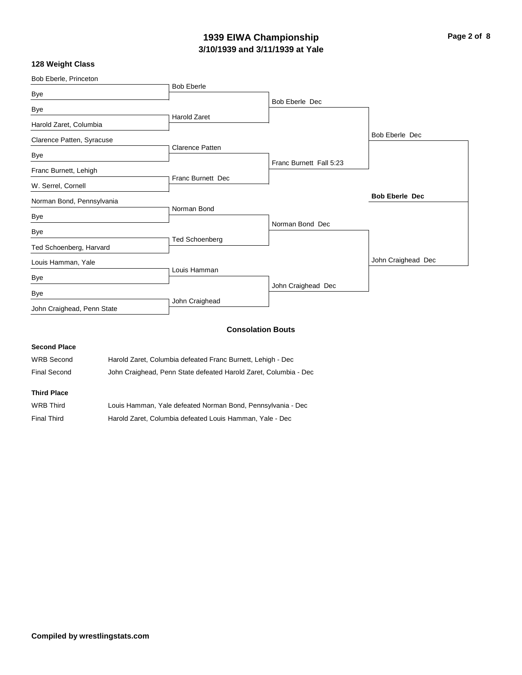## **3/10/1939 and 3/11/1939 at Yale 1939 EIWA Championship Page 2 of 8**

### **128 Weight Class**

| Bob Eberle, Princeton      |                          |                          |                       |
|----------------------------|--------------------------|--------------------------|-----------------------|
|                            | <b>Bob Eberle</b>        |                          |                       |
| Bye                        |                          | Bob Eberle Dec           |                       |
| Bye                        |                          |                          |                       |
| Harold Zaret, Columbia     | <b>Harold Zaret</b>      |                          |                       |
| Clarence Patten, Syracuse  |                          |                          | Bob Eberle Dec        |
|                            | <b>Clarence Patten</b>   |                          |                       |
| Bye                        |                          | Franc Burnett Fall 5:23  |                       |
| Franc Burnett, Lehigh      |                          |                          |                       |
| W. Serrel, Cornell         | <b>Franc Burnett Dec</b> |                          |                       |
|                            |                          |                          | <b>Bob Eberle Dec</b> |
| Norman Bond, Pennsylvania  | Norman Bond              |                          |                       |
| Bye                        |                          |                          |                       |
|                            |                          | Norman Bond Dec          |                       |
| Bye                        | <b>Ted Schoenberg</b>    |                          |                       |
| Ted Schoenberg, Harvard    |                          |                          |                       |
| Louis Hamman, Yale         |                          |                          | John Craighead Dec    |
|                            | Louis Hamman             |                          |                       |
| Bye                        |                          | John Craighead Dec       |                       |
| Bye                        |                          |                          |                       |
| John Craighead, Penn State | John Craighead           |                          |                       |
|                            |                          | <b>Consolation Bouts</b> |                       |

### **Consolation Bouts**

### **Second Place**

| <b>WRB Second</b> |  | Harold Zaret, Columbia defeated Franc Burnett, Lehigh - Dec |  |
|-------------------|--|-------------------------------------------------------------|--|
|                   |  |                                                             |  |

Final Second John Craighead, Penn State defeated Harold Zaret, Columbia - Dec

## **Third Place**

| WRB Third          | Louis Hamman, Yale defeated Norman Bond, Pennsylvania - Dec |
|--------------------|-------------------------------------------------------------|
| <b>Final Third</b> | Harold Zaret, Columbia defeated Louis Hamman, Yale - Dec    |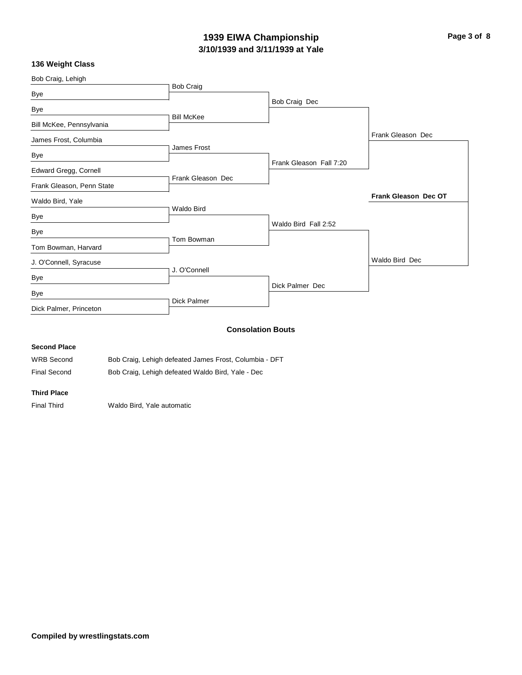## **3/10/1939 and 3/11/1939 at Yale 1939 EIWA Championship Page 3 of 8**

## **136 Weight Class**

| Bob Craig, Lehigh         |                    |                          |                      |
|---------------------------|--------------------|--------------------------|----------------------|
| Bye                       | <b>Bob Craig</b>   |                          |                      |
|                           |                    | Bob Craig Dec            |                      |
| Bye                       | <b>Bill McKee</b>  |                          |                      |
| Bill McKee, Pennsylvania  |                    |                          |                      |
| James Frost, Columbia     |                    |                          | Frank Gleason Dec    |
|                           | James Frost        |                          |                      |
| Bye                       |                    | Frank Gleason Fall 7:20  |                      |
| Edward Gregg, Cornell     | Frank Gleason Dec  |                          |                      |
| Frank Gleason, Penn State |                    |                          |                      |
| Waldo Bird, Yale          |                    |                          | Frank Gleason Dec OT |
| Bye                       | Waldo Bird         |                          |                      |
| Bye                       |                    | Waldo Bird Fall 2:52     |                      |
|                           | Tom Bowman         |                          |                      |
| Tom Bowman, Harvard       |                    |                          |                      |
| J. O'Connell, Syracuse    |                    |                          | Waldo Bird Dec       |
| Bye                       | J. O'Connell       |                          |                      |
|                           |                    | Dick Palmer Dec          |                      |
| Bye                       | <b>Dick Palmer</b> |                          |                      |
| Dick Palmer, Princeton    |                    |                          |                      |
|                           |                    |                          |                      |
|                           |                    | <b>Consolation Bouts</b> |                      |

### **Second Place**

| <b>WRB Second</b> | Bob Craig, Lehigh defeated James Frost, Columbia - DFT |
|-------------------|--------------------------------------------------------|
| Final Second      | Bob Craig, Lehigh defeated Waldo Bird, Yale - Dec      |

### **Third Place**

Final Third Waldo Bird, Yale automatic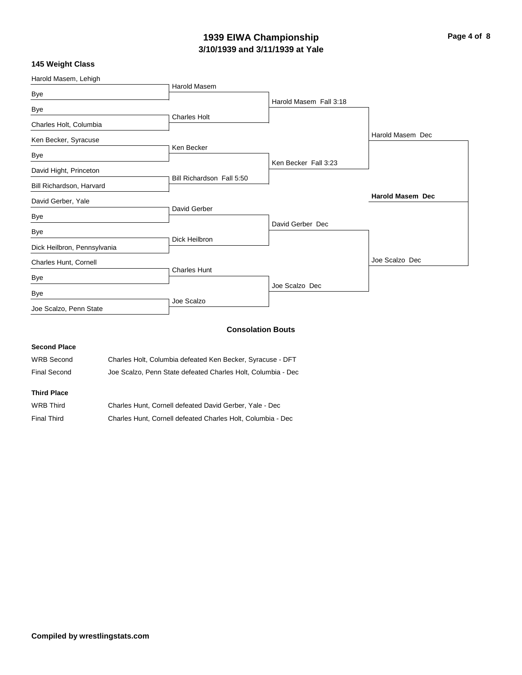# **3/10/1939 and 3/11/1939 at Yale 1939 EIWA Championship Page 4 of 8**

## **145 Weight Class**

| Harold Masem, Lehigh        |                           |                          |                         |
|-----------------------------|---------------------------|--------------------------|-------------------------|
| Bye                         | <b>Harold Masem</b>       |                          |                         |
|                             |                           | Harold Masem Fall 3:18   |                         |
| Bye                         | <b>Charles Holt</b>       |                          |                         |
| Charles Holt, Columbia      |                           |                          |                         |
| Ken Becker, Syracuse        |                           |                          | Harold Masem Dec        |
|                             | Ken Becker                |                          |                         |
| Bye                         |                           | Ken Becker Fall 3:23     |                         |
| David Hight, Princeton      |                           |                          |                         |
| Bill Richardson, Harvard    | Bill Richardson Fall 5:50 |                          |                         |
| David Gerber, Yale          |                           |                          | <b>Harold Masem Dec</b> |
| Bye                         | David Gerber              |                          |                         |
|                             |                           | David Gerber Dec         |                         |
| Bye                         | Dick Heilbron             |                          |                         |
| Dick Heilbron, Pennsylvania |                           |                          |                         |
| Charles Hunt, Cornell       |                           |                          | Joe Scalzo Dec          |
|                             | <b>Charles Hunt</b>       |                          |                         |
| Bye                         |                           | Joe Scalzo Dec           |                         |
| Bye                         | Joe Scalzo                |                          |                         |
| Joe Scalzo, Penn State      |                           |                          |                         |
|                             |                           | <b>Consolation Bouts</b> |                         |

### **Second Place**

| <b>WRB Second</b>   | Charles Holt, Columbia defeated Ken Becker, Syracuse - DFT   |
|---------------------|--------------------------------------------------------------|
| <b>Final Second</b> | Joe Scalzo, Penn State defeated Charles Holt, Columbia - Dec |

### **Third Place**

| <b>WRB Third</b> | Charles Hunt, Cornell defeated David Gerber, Yale - Dec     |
|------------------|-------------------------------------------------------------|
| Final Third      | Charles Hunt, Cornell defeated Charles Holt, Columbia - Dec |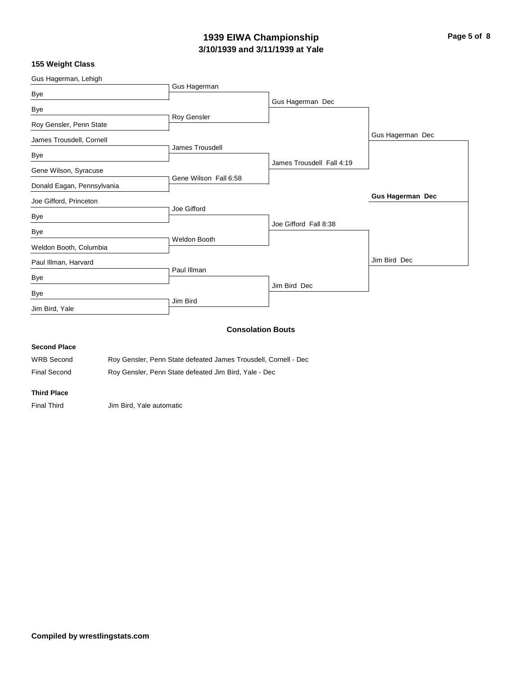## **3/10/1939 and 3/11/1939 at Yale 1939 EIWA Championship Page 5 of 8**

### **155 Weight Class**

| Gus Hagerman, Lehigh       |                          |                           |                         |
|----------------------------|--------------------------|---------------------------|-------------------------|
|                            | Gus Hagerman             |                           |                         |
| Bye                        |                          | Gus Hagerman Dec          |                         |
| Bye                        |                          |                           |                         |
| Roy Gensler, Penn State    | Roy Gensler              |                           |                         |
| James Trousdell, Cornell   |                          |                           | Gus Hagerman Dec        |
| Bye                        | James Trousdell          |                           |                         |
| Gene Wilson, Syracuse      |                          | James Trousdell Fall 4:19 |                         |
| Donald Eagan, Pennsylvania | Gene Wilson Fall 6:58    |                           |                         |
| Joe Gifford, Princeton     |                          |                           | <b>Gus Hagerman Dec</b> |
| Bye                        | Joe Gifford              |                           |                         |
| Bye                        |                          | Joe Gifford Fall 8:38     |                         |
| Weldon Booth, Columbia     | <b>Weldon Booth</b>      |                           |                         |
| Paul Illman, Harvard       |                          |                           | Jim Bird Dec            |
| Bye                        | Paul Illman              |                           |                         |
| Bye                        |                          | Jim Bird Dec              |                         |
| Jim Bird, Yale             | Jim Bird                 |                           |                         |
|                            | <b>Consolation Bouts</b> |                           |                         |

### **Second Place**

| <b>WRB Second</b>   | Roy Gensler, Penn State defeated James Trousdell, Cornell - Dec |
|---------------------|-----------------------------------------------------------------|
| <b>Final Second</b> | Roy Gensler, Penn State defeated Jim Bird, Yale - Dec           |

### **Third Place**

Final Third **Jim Bird, Yale automatic**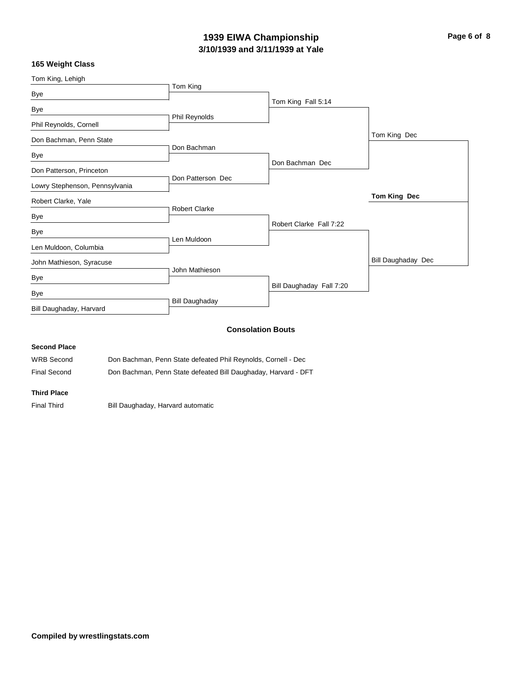## **3/10/1939 and 3/11/1939 at Yale 1939 EIWA Championship Page 6 of 8**

### **165 Weight Class**

| Tom King, Lehigh               |                       |                          |                    |
|--------------------------------|-----------------------|--------------------------|--------------------|
|                                | Tom King              |                          |                    |
| Bye                            |                       | Tom King Fall 5:14       |                    |
| Bye                            |                       |                          |                    |
| Phil Reynolds, Cornell         | Phil Reynolds         |                          |                    |
| Don Bachman, Penn State        |                       |                          | Tom King Dec       |
|                                | Don Bachman           |                          |                    |
| Bye                            |                       | Don Bachman Dec          |                    |
| Don Patterson, Princeton       | Don Patterson Dec     |                          |                    |
| Lowry Stephenson, Pennsylvania |                       |                          |                    |
| Robert Clarke, Yale            |                       |                          | Tom King Dec       |
|                                | <b>Robert Clarke</b>  |                          |                    |
| Bye                            |                       | Robert Clarke Fall 7:22  |                    |
| Bye                            |                       |                          |                    |
| Len Muldoon, Columbia          | Len Muldoon           |                          |                    |
| John Mathieson, Syracuse       |                       |                          | Bill Daughaday Dec |
|                                | John Mathieson        |                          |                    |
| Bye                            |                       |                          |                    |
| Bye                            |                       | Bill Daughaday Fall 7:20 |                    |
| Bill Daughaday, Harvard        | <b>Bill Daughaday</b> |                          |                    |
|                                |                       | <b>Consolation Bouts</b> |                    |

### **Second Place**

WRB Second Don Bachman, Penn State defeated Phil Reynolds, Cornell - Dec

Final Second Don Bachman, Penn State defeated Bill Daughaday, Harvard - DFT

### **Third Place**

Final Third **Bill Daughaday, Harvard automatic**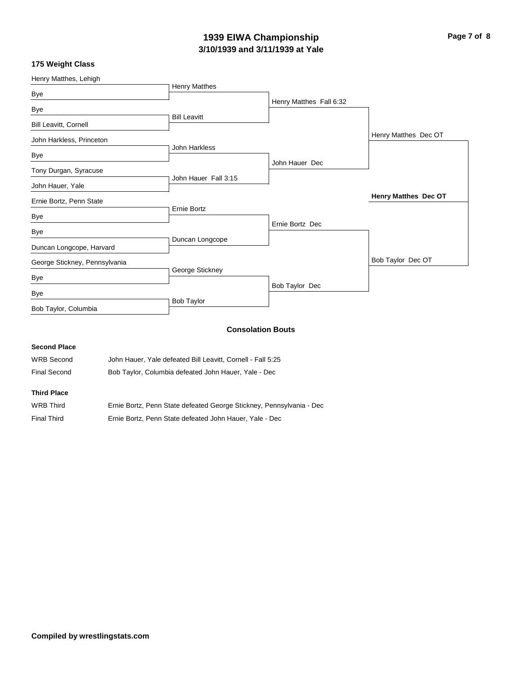## **3/10/1939 and 3/11/1939 at Yale 1939 EIWA Championship Page 7 of 8**

### **175 Weight Class**

| Henry Matthes, Lehigh         |                      |                          |                      |
|-------------------------------|----------------------|--------------------------|----------------------|
| Bye                           | <b>Henry Matthes</b> |                          |                      |
|                               |                      | Henry Matthes Fall 6:32  |                      |
| Bye                           | <b>Bill Leavitt</b>  |                          |                      |
| Bill Leavitt, Cornell         |                      |                          |                      |
| John Harkless, Princeton      |                      |                          | Henry Matthes Dec OT |
|                               | John Harkless        |                          |                      |
| Bye                           |                      | John Hauer Dec           |                      |
| Tony Durgan, Syracuse         |                      |                          |                      |
| John Hauer, Yale              | John Hauer Fall 3:15 |                          |                      |
| Ernie Bortz, Penn State       |                      |                          | Henry Matthes Dec OT |
|                               | Ernie Bortz          |                          |                      |
| Bye                           |                      | Ernie Bortz Dec          |                      |
| Bye                           |                      |                          |                      |
| Duncan Longcope, Harvard      | Duncan Longcope      |                          |                      |
| George Stickney, Pennsylvania |                      |                          | Bob Taylor Dec OT    |
|                               | George Stickney      |                          |                      |
| Bye                           |                      | Bob Taylor Dec           |                      |
| Bye                           | <b>Bob Taylor</b>    |                          |                      |
| Bob Taylor, Columbia          |                      |                          |                      |
|                               |                      |                          |                      |
|                               |                      | <b>Consolation Bouts</b> |                      |

| <b>Second Place</b> |                                                                      |
|---------------------|----------------------------------------------------------------------|
| <b>WRB Second</b>   | John Hauer, Yale defeated Bill Leavitt, Cornell - Fall 5:25          |
| <b>Final Second</b> | Bob Taylor, Columbia defeated John Hauer, Yale - Dec                 |
| <b>Third Place</b>  |                                                                      |
| <b>WRB Third</b>    | Ernie Bortz, Penn State defeated George Stickney, Pennsylvania - Dec |

Final Third Ernie Bortz, Penn State defeated John Hauer, Yale - Dec